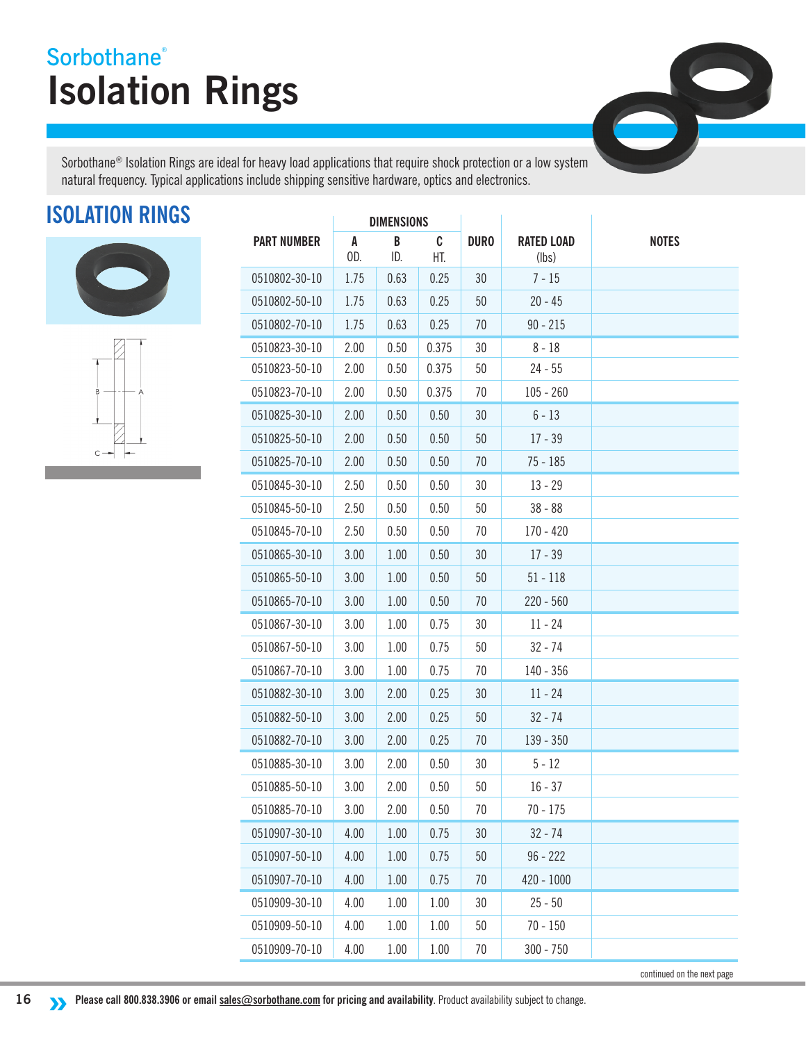## **Isolation Rings Sorbothane®**

8

Sorbothane® Isolation Rings are ideal for heavy load applications that require shock protection or a low system natural frequency. Typical applications include shipping sensitive hardware, optics and electronics.

## **ISOLATION RINGS**





|                    | <b>DIMENSIONS</b> |          |          |             |                            |              |
|--------------------|-------------------|----------|----------|-------------|----------------------------|--------------|
| <b>PART NUMBER</b> | A<br>OD.          | B<br>ID. | C<br>HT. | <b>DURO</b> | <b>RATED LOAD</b><br>(lbs) | <b>NOTES</b> |
| 0510802-30-10      | 1.75              | 0.63     | 0.25     | 30          | $7 - 15$                   |              |
| 0510802-50-10      | 1.75              | 0.63     | 0.25     | 50          | $20 - 45$                  |              |
| 0510802-70-10      | 1.75              | 0.63     | 0.25     | 70          | $90 - 215$                 |              |
| 0510823-30-10      | 2.00              | 0.50     | 0.375    | 30          | $8 - 18$                   |              |
| 0510823-50-10      | 2.00              | 0.50     | 0.375    | 50          | $24 - 55$                  |              |
| 0510823-70-10      | 2.00              | 0.50     | 0.375    | 70          | $105 - 260$                |              |
| 0510825-30-10      | 2.00              | 0.50     | 0.50     | 30          | $6 - 13$                   |              |
| 0510825-50-10      | 2.00              | 0.50     | 0.50     | 50          | $17 - 39$                  |              |
| 0510825-70-10      | 2.00              | 0.50     | 0.50     | 70          | 75 - 185                   |              |
| 0510845-30-10      | 2.50              | 0.50     | 0.50     | 30          | $13 - 29$                  |              |
| 0510845-50-10      | 2.50              | 0.50     | 0.50     | 50          | $38 - 88$                  |              |
| 0510845-70-10      | 2.50              | 0.50     | 0.50     | 70          | $170 - 420$                |              |
| 0510865-30-10      | 3.00              | 1.00     | 0.50     | 30          | $17 - 39$                  |              |
| 0510865-50-10      | 3.00              | 1.00     | 0.50     | 50          | $51 - 118$                 |              |
| 0510865-70-10      | 3.00              | 1.00     | 0.50     | 70          | $220 - 560$                |              |
| 0510867-30-10      | 3.00              | 1.00     | 0.75     | 30          | $11 - 24$                  |              |
| 0510867-50-10      | 3.00              | 1.00     | 0.75     | 50          | $32 - 74$                  |              |
| 0510867-70-10      | 3.00              | 1.00     | 0.75     | 70          | 140 - 356                  |              |
| 0510882-30-10      | 3.00              | 2.00     | 0.25     | 30          | $11 - 24$                  |              |
| 0510882-50-10      | 3.00              | 2.00     | 0.25     | 50          | $32 - 74$                  |              |
| 0510882-70-10      | 3.00              | 2.00     | 0.25     | 70          | 139 - 350                  |              |
| 0510885-30-10      | 3.00              | 2.00     | 0.50     | 30          | $5 - 12$                   |              |
| 0510885-50-10      | 3.00              | 2.00     | 0.50     | 50          | $16 - 37$                  |              |
| 0510885-70-10      | 3.00              | 2.00     | 0.50     | 70          | $70 - 175$                 |              |
| 0510907-30-10      | 4.00              | 1.00     | 0.75     | 30          | $32 - 74$                  |              |
| 0510907-50-10      | 4.00              | 1.00     | 0.75     | $50\,$      | $96 - 222$                 |              |
| 0510907-70-10      | 4.00              | 1.00     | 0.75     | 70          | $420 - 1000$               |              |
| 0510909-30-10      | 4.00              | 1.00     | 1.00     | 30          | $25 - 50$                  |              |
| 0510909-50-10      | 4.00              | 1.00     | 1.00     | 50          | $70 - 150$                 |              |
| 0510909-70-10      | 4.00              | 1.00     | 1.00     | 70          | $300 - 750$                |              |

continued on the next page